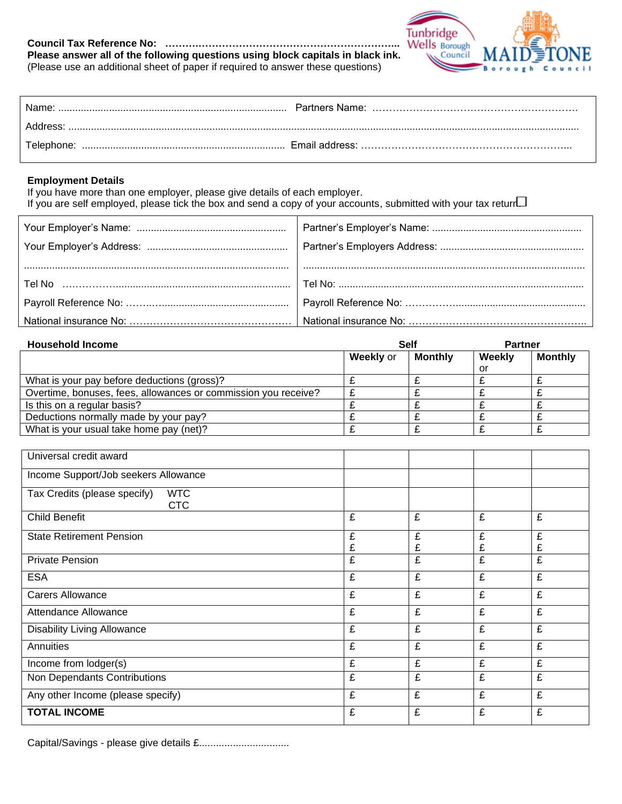## **Council Tax Reference No: ……….…………………………………………………... Please answer all of the following questions using block capitals in black ink.**





| Name <sup>.</sup> |  |
|-------------------|--|
| Address:          |  |
|                   |  |

## **Employment Details**

If you have more than one employer, please give details of each employer. If you are self employed, please tick the box and send a copy of your accounts, submitted with your tax return.

| <b>Household Income</b>                                        | <b>Self</b> |                | <b>Partner</b> |                |
|----------------------------------------------------------------|-------------|----------------|----------------|----------------|
|                                                                | Weekly or   | <b>Monthly</b> | Weekly         | <b>Monthly</b> |
|                                                                |             |                | or             |                |
| What is your pay before deductions (gross)?                    |             |                |                |                |
| Overtime, bonuses, fees, allowances or commission you receive? |             |                |                |                |
| Is this on a regular basis?                                    |             |                |                |                |
| Deductions normally made by your pay?                          |             |                |                |                |
| What is your usual take home pay (net)?                        |             |                |                |                |

| Universal credit award                                   |        |        |        |        |
|----------------------------------------------------------|--------|--------|--------|--------|
| Income Support/Job seekers Allowance                     |        |        |        |        |
| Tax Credits (please specify)<br><b>WTC</b><br><b>CTC</b> |        |        |        |        |
| <b>Child Benefit</b>                                     | £      | £      | £      | £      |
| <b>State Retirement Pension</b>                          | £<br>£ | £<br>£ | £<br>£ | £<br>£ |
| <b>Private Pension</b>                                   | £      | £      | £      | £      |
| <b>ESA</b>                                               | £      | £      | £      | £      |
| <b>Carers Allowance</b>                                  | £      | £      | £      | £      |
| Attendance Allowance                                     | £      | £      | £      | £      |
| Disability Living Allowance                              | £      | £      | £      | £      |
| Annuities                                                | £      | £      | £      | £      |
| Income from lodger(s)                                    | £      | £      | £      | £      |
| Non Dependants Contributions                             | £      | £      | £      | £      |
| Any other Income (please specify)                        | £      | £      | £      | £      |
| <b>TOTAL INCOME</b>                                      | £      | £      | £      | £      |

Capital/Savings - please give details £................................